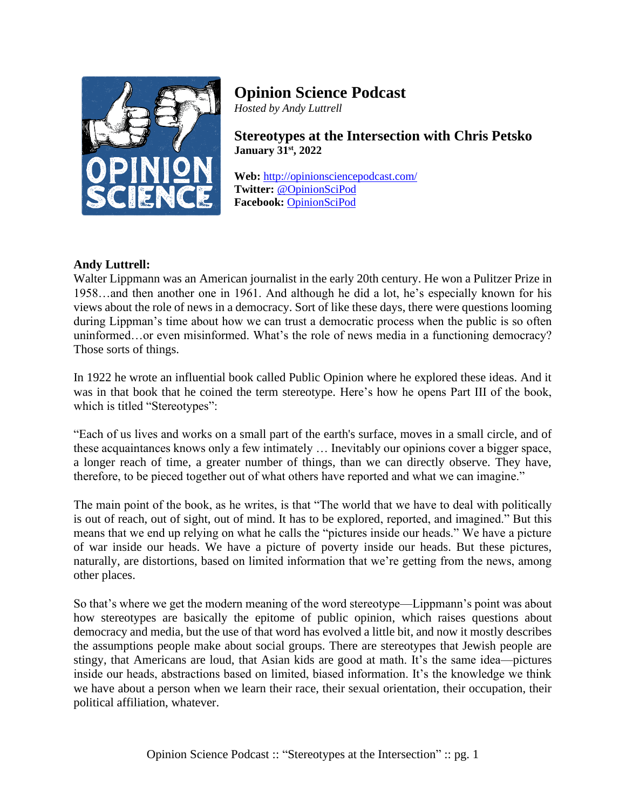

# **Opinion Science Podcast**

*Hosted by Andy Luttrell*

**Stereotypes at the Intersection with Chris Petsko January 31st , 2022**

**Web:** <http://opinionsciencepodcast.com/> **Twitter:** [@OpinionSciPod](https://twitter.com/OpinionSciPod) **Facebook:** [OpinionSciPod](https://www.facebook.com/OpinionSciPod/)

## **Andy Luttrell:**

Walter Lippmann was an American journalist in the early 20th century. He won a Pulitzer Prize in 1958…and then another one in 1961. And although he did a lot, he's especially known for his views about the role of news in a democracy. Sort of like these days, there were questions looming during Lippman's time about how we can trust a democratic process when the public is so often uninformed…or even misinformed. What's the role of news media in a functioning democracy? Those sorts of things.

In 1922 he wrote an influential book called Public Opinion where he explored these ideas. And it was in that book that he coined the term stereotype. Here's how he opens Part III of the book, which is titled "Stereotypes":

"Each of us lives and works on a small part of the earth's surface, moves in a small circle, and of these acquaintances knows only a few intimately … Inevitably our opinions cover a bigger space, a longer reach of time, a greater number of things, than we can directly observe. They have, therefore, to be pieced together out of what others have reported and what we can imagine."

The main point of the book, as he writes, is that "The world that we have to deal with politically is out of reach, out of sight, out of mind. It has to be explored, reported, and imagined." But this means that we end up relying on what he calls the "pictures inside our heads." We have a picture of war inside our heads. We have a picture of poverty inside our heads. But these pictures, naturally, are distortions, based on limited information that we're getting from the news, among other places.

So that's where we get the modern meaning of the word stereotype—Lippmann's point was about how stereotypes are basically the epitome of public opinion, which raises questions about democracy and media, but the use of that word has evolved a little bit, and now it mostly describes the assumptions people make about social groups. There are stereotypes that Jewish people are stingy, that Americans are loud, that Asian kids are good at math. It's the same idea—pictures inside our heads, abstractions based on limited, biased information. It's the knowledge we think we have about a person when we learn their race, their sexual orientation, their occupation, their political affiliation, whatever.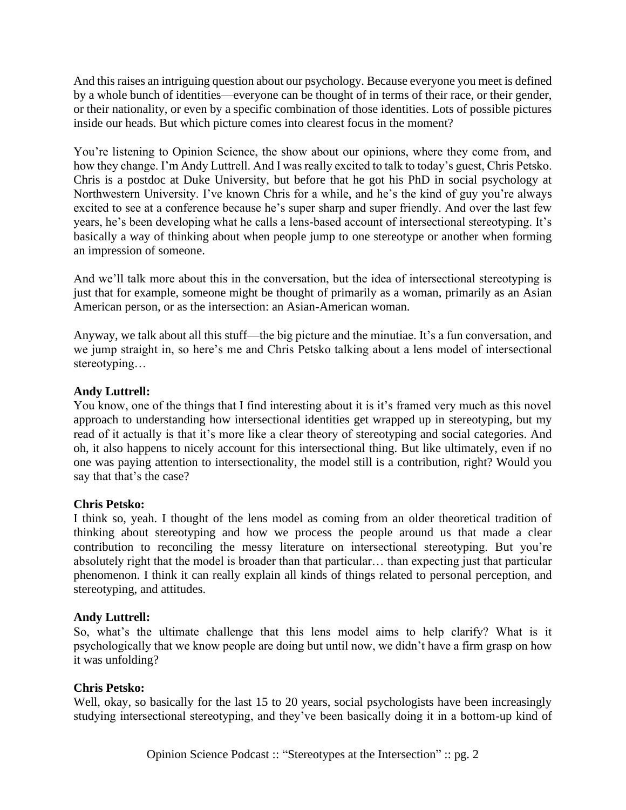And this raises an intriguing question about our psychology. Because everyone you meet is defined by a whole bunch of identities—everyone can be thought of in terms of their race, or their gender, or their nationality, or even by a specific combination of those identities. Lots of possible pictures inside our heads. But which picture comes into clearest focus in the moment?

You're listening to Opinion Science, the show about our opinions, where they come from, and how they change. I'm Andy Luttrell. And I was really excited to talk to today's guest, Chris Petsko. Chris is a postdoc at Duke University, but before that he got his PhD in social psychology at Northwestern University. I've known Chris for a while, and he's the kind of guy you're always excited to see at a conference because he's super sharp and super friendly. And over the last few years, he's been developing what he calls a lens-based account of intersectional stereotyping. It's basically a way of thinking about when people jump to one stereotype or another when forming an impression of someone.

And we'll talk more about this in the conversation, but the idea of intersectional stereotyping is just that for example, someone might be thought of primarily as a woman, primarily as an Asian American person, or as the intersection: an Asian-American woman.

Anyway, we talk about all this stuff—the big picture and the minutiae. It's a fun conversation, and we jump straight in, so here's me and Chris Petsko talking about a lens model of intersectional stereotyping…

## **Andy Luttrell:**

You know, one of the things that I find interesting about it is it's framed very much as this novel approach to understanding how intersectional identities get wrapped up in stereotyping, but my read of it actually is that it's more like a clear theory of stereotyping and social categories. And oh, it also happens to nicely account for this intersectional thing. But like ultimately, even if no one was paying attention to intersectionality, the model still is a contribution, right? Would you say that that's the case?

## **Chris Petsko:**

I think so, yeah. I thought of the lens model as coming from an older theoretical tradition of thinking about stereotyping and how we process the people around us that made a clear contribution to reconciling the messy literature on intersectional stereotyping. But you're absolutely right that the model is broader than that particular… than expecting just that particular phenomenon. I think it can really explain all kinds of things related to personal perception, and stereotyping, and attitudes.

## **Andy Luttrell:**

So, what's the ultimate challenge that this lens model aims to help clarify? What is it psychologically that we know people are doing but until now, we didn't have a firm grasp on how it was unfolding?

## **Chris Petsko:**

Well, okay, so basically for the last 15 to 20 years, social psychologists have been increasingly studying intersectional stereotyping, and they've been basically doing it in a bottom-up kind of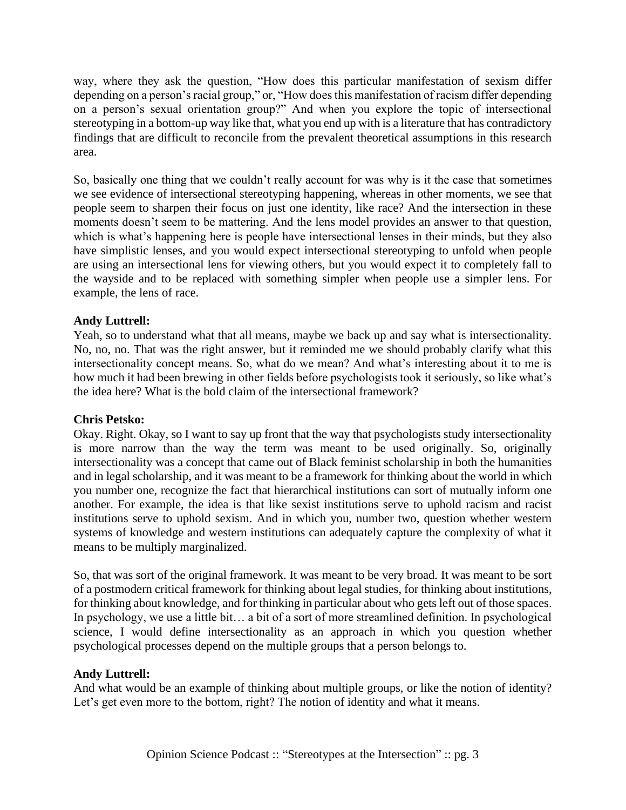way, where they ask the question, "How does this particular manifestation of sexism differ depending on a person's racial group," or, "How does this manifestation of racism differ depending on a person's sexual orientation group?" And when you explore the topic of intersectional stereotyping in a bottom-up way like that, what you end up with is a literature that has contradictory findings that are difficult to reconcile from the prevalent theoretical assumptions in this research area.

So, basically one thing that we couldn't really account for was why is it the case that sometimes we see evidence of intersectional stereotyping happening, whereas in other moments, we see that people seem to sharpen their focus on just one identity, like race? And the intersection in these moments doesn't seem to be mattering. And the lens model provides an answer to that question, which is what's happening here is people have intersectional lenses in their minds, but they also have simplistic lenses, and you would expect intersectional stereotyping to unfold when people are using an intersectional lens for viewing others, but you would expect it to completely fall to the wayside and to be replaced with something simpler when people use a simpler lens. For example, the lens of race.

## **Andy Luttrell:**

Yeah, so to understand what that all means, maybe we back up and say what is intersectionality. No, no, no. That was the right answer, but it reminded me we should probably clarify what this intersectionality concept means. So, what do we mean? And what's interesting about it to me is how much it had been brewing in other fields before psychologists took it seriously, so like what's the idea here? What is the bold claim of the intersectional framework?

## **Chris Petsko:**

Okay. Right. Okay, so I want to say up front that the way that psychologists study intersectionality is more narrow than the way the term was meant to be used originally. So, originally intersectionality was a concept that came out of Black feminist scholarship in both the humanities and in legal scholarship, and it was meant to be a framework for thinking about the world in which you number one, recognize the fact that hierarchical institutions can sort of mutually inform one another. For example, the idea is that like sexist institutions serve to uphold racism and racist institutions serve to uphold sexism. And in which you, number two, question whether western systems of knowledge and western institutions can adequately capture the complexity of what it means to be multiply marginalized.

So, that was sort of the original framework. It was meant to be very broad. It was meant to be sort of a postmodern critical framework for thinking about legal studies, for thinking about institutions, for thinking about knowledge, and for thinking in particular about who gets left out of those spaces. In psychology, we use a little bit… a bit of a sort of more streamlined definition. In psychological science, I would define intersectionality as an approach in which you question whether psychological processes depend on the multiple groups that a person belongs to.

## **Andy Luttrell:**

And what would be an example of thinking about multiple groups, or like the notion of identity? Let's get even more to the bottom, right? The notion of identity and what it means.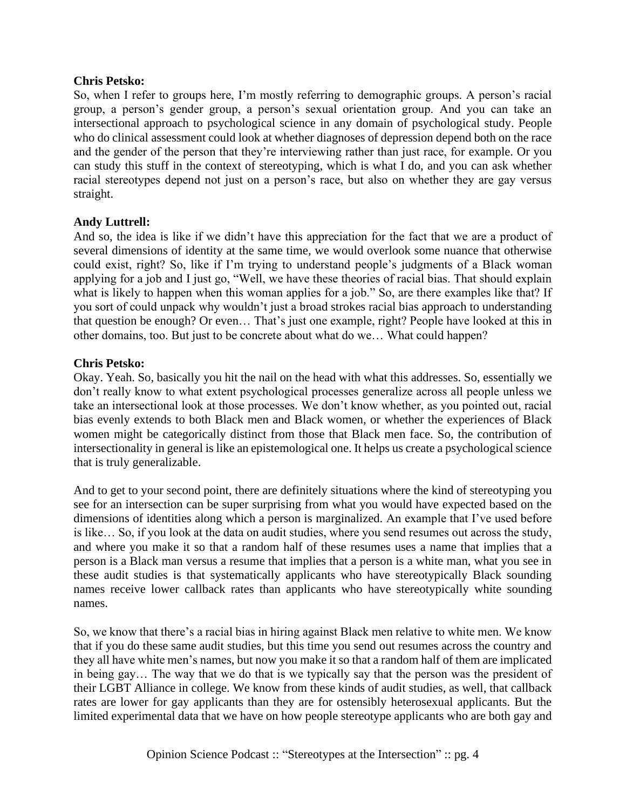## **Chris Petsko:**

So, when I refer to groups here, I'm mostly referring to demographic groups. A person's racial group, a person's gender group, a person's sexual orientation group. And you can take an intersectional approach to psychological science in any domain of psychological study. People who do clinical assessment could look at whether diagnoses of depression depend both on the race and the gender of the person that they're interviewing rather than just race, for example. Or you can study this stuff in the context of stereotyping, which is what I do, and you can ask whether racial stereotypes depend not just on a person's race, but also on whether they are gay versus straight.

## **Andy Luttrell:**

And so, the idea is like if we didn't have this appreciation for the fact that we are a product of several dimensions of identity at the same time, we would overlook some nuance that otherwise could exist, right? So, like if I'm trying to understand people's judgments of a Black woman applying for a job and I just go, "Well, we have these theories of racial bias. That should explain what is likely to happen when this woman applies for a job." So, are there examples like that? If you sort of could unpack why wouldn't just a broad strokes racial bias approach to understanding that question be enough? Or even… That's just one example, right? People have looked at this in other domains, too. But just to be concrete about what do we… What could happen?

## **Chris Petsko:**

Okay. Yeah. So, basically you hit the nail on the head with what this addresses. So, essentially we don't really know to what extent psychological processes generalize across all people unless we take an intersectional look at those processes. We don't know whether, as you pointed out, racial bias evenly extends to both Black men and Black women, or whether the experiences of Black women might be categorically distinct from those that Black men face. So, the contribution of intersectionality in general is like an epistemological one. It helps us create a psychological science that is truly generalizable.

And to get to your second point, there are definitely situations where the kind of stereotyping you see for an intersection can be super surprising from what you would have expected based on the dimensions of identities along which a person is marginalized. An example that I've used before is like… So, if you look at the data on audit studies, where you send resumes out across the study, and where you make it so that a random half of these resumes uses a name that implies that a person is a Black man versus a resume that implies that a person is a white man, what you see in these audit studies is that systematically applicants who have stereotypically Black sounding names receive lower callback rates than applicants who have stereotypically white sounding names.

So, we know that there's a racial bias in hiring against Black men relative to white men. We know that if you do these same audit studies, but this time you send out resumes across the country and they all have white men's names, but now you make it so that a random half of them are implicated in being gay… The way that we do that is we typically say that the person was the president of their LGBT Alliance in college. We know from these kinds of audit studies, as well, that callback rates are lower for gay applicants than they are for ostensibly heterosexual applicants. But the limited experimental data that we have on how people stereotype applicants who are both gay and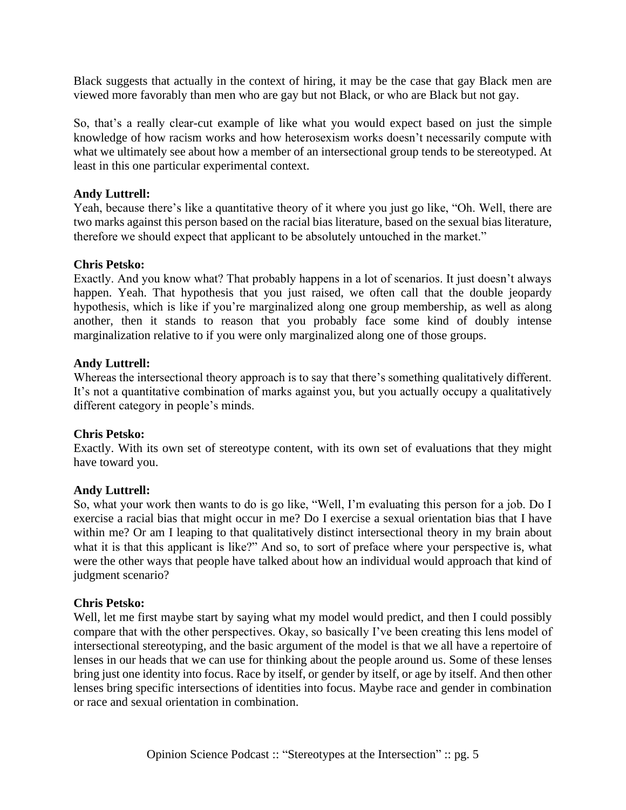Black suggests that actually in the context of hiring, it may be the case that gay Black men are viewed more favorably than men who are gay but not Black, or who are Black but not gay.

So, that's a really clear-cut example of like what you would expect based on just the simple knowledge of how racism works and how heterosexism works doesn't necessarily compute with what we ultimately see about how a member of an intersectional group tends to be stereotyped. At least in this one particular experimental context.

## **Andy Luttrell:**

Yeah, because there's like a quantitative theory of it where you just go like, "Oh. Well, there are two marks against this person based on the racial bias literature, based on the sexual bias literature, therefore we should expect that applicant to be absolutely untouched in the market."

## **Chris Petsko:**

Exactly. And you know what? That probably happens in a lot of scenarios. It just doesn't always happen. Yeah. That hypothesis that you just raised, we often call that the double jeopardy hypothesis, which is like if you're marginalized along one group membership, as well as along another, then it stands to reason that you probably face some kind of doubly intense marginalization relative to if you were only marginalized along one of those groups.

## **Andy Luttrell:**

Whereas the intersectional theory approach is to say that there's something qualitatively different. It's not a quantitative combination of marks against you, but you actually occupy a qualitatively different category in people's minds.

## **Chris Petsko:**

Exactly. With its own set of stereotype content, with its own set of evaluations that they might have toward you.

## **Andy Luttrell:**

So, what your work then wants to do is go like, "Well, I'm evaluating this person for a job. Do I exercise a racial bias that might occur in me? Do I exercise a sexual orientation bias that I have within me? Or am I leaping to that qualitatively distinct intersectional theory in my brain about what it is that this applicant is like?" And so, to sort of preface where your perspective is, what were the other ways that people have talked about how an individual would approach that kind of judgment scenario?

## **Chris Petsko:**

Well, let me first maybe start by saying what my model would predict, and then I could possibly compare that with the other perspectives. Okay, so basically I've been creating this lens model of intersectional stereotyping, and the basic argument of the model is that we all have a repertoire of lenses in our heads that we can use for thinking about the people around us. Some of these lenses bring just one identity into focus. Race by itself, or gender by itself, or age by itself. And then other lenses bring specific intersections of identities into focus. Maybe race and gender in combination or race and sexual orientation in combination.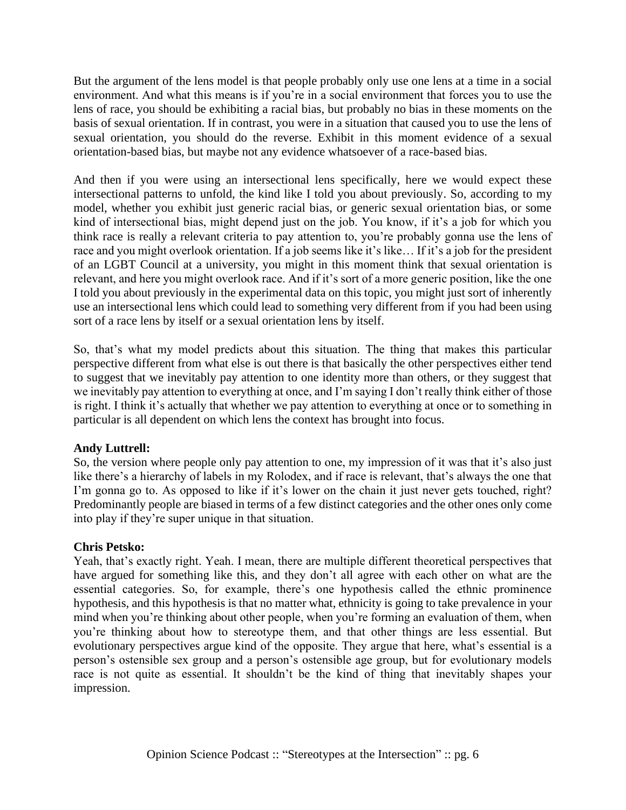But the argument of the lens model is that people probably only use one lens at a time in a social environment. And what this means is if you're in a social environment that forces you to use the lens of race, you should be exhibiting a racial bias, but probably no bias in these moments on the basis of sexual orientation. If in contrast, you were in a situation that caused you to use the lens of sexual orientation, you should do the reverse. Exhibit in this moment evidence of a sexual orientation-based bias, but maybe not any evidence whatsoever of a race-based bias.

And then if you were using an intersectional lens specifically, here we would expect these intersectional patterns to unfold, the kind like I told you about previously. So, according to my model, whether you exhibit just generic racial bias, or generic sexual orientation bias, or some kind of intersectional bias, might depend just on the job. You know, if it's a job for which you think race is really a relevant criteria to pay attention to, you're probably gonna use the lens of race and you might overlook orientation. If a job seems like it's like… If it's a job for the president of an LGBT Council at a university, you might in this moment think that sexual orientation is relevant, and here you might overlook race. And if it's sort of a more generic position, like the one I told you about previously in the experimental data on this topic, you might just sort of inherently use an intersectional lens which could lead to something very different from if you had been using sort of a race lens by itself or a sexual orientation lens by itself.

So, that's what my model predicts about this situation. The thing that makes this particular perspective different from what else is out there is that basically the other perspectives either tend to suggest that we inevitably pay attention to one identity more than others, or they suggest that we inevitably pay attention to everything at once, and I'm saying I don't really think either of those is right. I think it's actually that whether we pay attention to everything at once or to something in particular is all dependent on which lens the context has brought into focus.

## **Andy Luttrell:**

So, the version where people only pay attention to one, my impression of it was that it's also just like there's a hierarchy of labels in my Rolodex, and if race is relevant, that's always the one that I'm gonna go to. As opposed to like if it's lower on the chain it just never gets touched, right? Predominantly people are biased in terms of a few distinct categories and the other ones only come into play if they're super unique in that situation.

## **Chris Petsko:**

Yeah, that's exactly right. Yeah. I mean, there are multiple different theoretical perspectives that have argued for something like this, and they don't all agree with each other on what are the essential categories. So, for example, there's one hypothesis called the ethnic prominence hypothesis, and this hypothesis is that no matter what, ethnicity is going to take prevalence in your mind when you're thinking about other people, when you're forming an evaluation of them, when you're thinking about how to stereotype them, and that other things are less essential. But evolutionary perspectives argue kind of the opposite. They argue that here, what's essential is a person's ostensible sex group and a person's ostensible age group, but for evolutionary models race is not quite as essential. It shouldn't be the kind of thing that inevitably shapes your impression.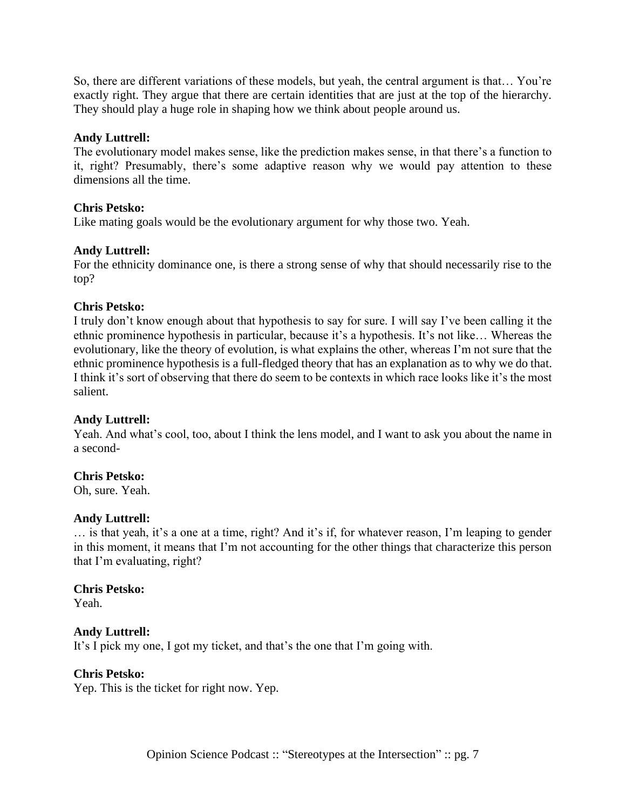So, there are different variations of these models, but yeah, the central argument is that… You're exactly right. They argue that there are certain identities that are just at the top of the hierarchy. They should play a huge role in shaping how we think about people around us.

## **Andy Luttrell:**

The evolutionary model makes sense, like the prediction makes sense, in that there's a function to it, right? Presumably, there's some adaptive reason why we would pay attention to these dimensions all the time.

## **Chris Petsko:**

Like mating goals would be the evolutionary argument for why those two. Yeah.

## **Andy Luttrell:**

For the ethnicity dominance one, is there a strong sense of why that should necessarily rise to the top?

## **Chris Petsko:**

I truly don't know enough about that hypothesis to say for sure. I will say I've been calling it the ethnic prominence hypothesis in particular, because it's a hypothesis. It's not like… Whereas the evolutionary, like the theory of evolution, is what explains the other, whereas I'm not sure that the ethnic prominence hypothesis is a full-fledged theory that has an explanation as to why we do that. I think it's sort of observing that there do seem to be contexts in which race looks like it's the most salient.

## **Andy Luttrell:**

Yeah. And what's cool, too, about I think the lens model, and I want to ask you about the name in a second-

## **Chris Petsko:**

Oh, sure. Yeah.

## **Andy Luttrell:**

… is that yeah, it's a one at a time, right? And it's if, for whatever reason, I'm leaping to gender in this moment, it means that I'm not accounting for the other things that characterize this person that I'm evaluating, right?

## **Chris Petsko:**

Yeah.

## **Andy Luttrell:**

It's I pick my one, I got my ticket, and that's the one that I'm going with.

## **Chris Petsko:**

Yep. This is the ticket for right now. Yep.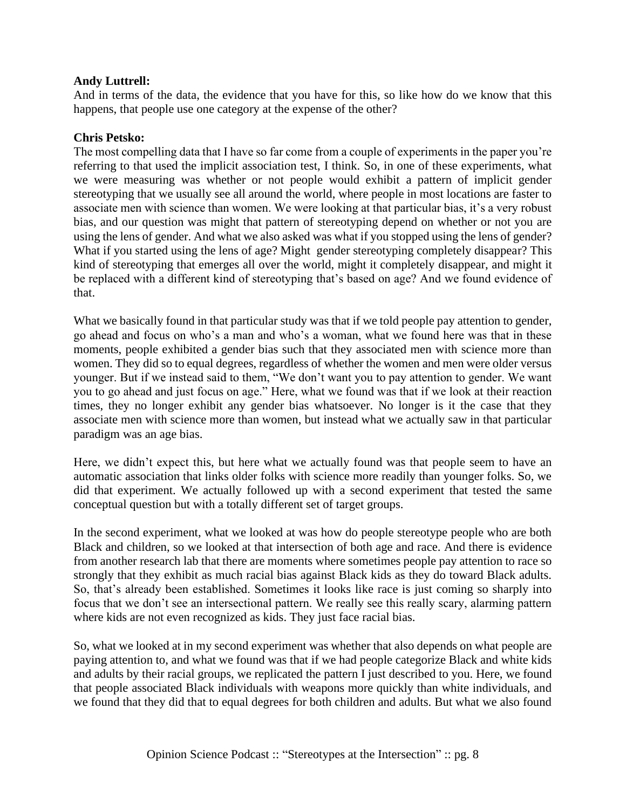And in terms of the data, the evidence that you have for this, so like how do we know that this happens, that people use one category at the expense of the other?

## **Chris Petsko:**

The most compelling data that I have so far come from a couple of experiments in the paper you're referring to that used the implicit association test, I think. So, in one of these experiments, what we were measuring was whether or not people would exhibit a pattern of implicit gender stereotyping that we usually see all around the world, where people in most locations are faster to associate men with science than women. We were looking at that particular bias, it's a very robust bias, and our question was might that pattern of stereotyping depend on whether or not you are using the lens of gender. And what we also asked was what if you stopped using the lens of gender? What if you started using the lens of age? Might gender stereotyping completely disappear? This kind of stereotyping that emerges all over the world, might it completely disappear, and might it be replaced with a different kind of stereotyping that's based on age? And we found evidence of that.

What we basically found in that particular study was that if we told people pay attention to gender, go ahead and focus on who's a man and who's a woman, what we found here was that in these moments, people exhibited a gender bias such that they associated men with science more than women. They did so to equal degrees, regardless of whether the women and men were older versus younger. But if we instead said to them, "We don't want you to pay attention to gender. We want you to go ahead and just focus on age." Here, what we found was that if we look at their reaction times, they no longer exhibit any gender bias whatsoever. No longer is it the case that they associate men with science more than women, but instead what we actually saw in that particular paradigm was an age bias.

Here, we didn't expect this, but here what we actually found was that people seem to have an automatic association that links older folks with science more readily than younger folks. So, we did that experiment. We actually followed up with a second experiment that tested the same conceptual question but with a totally different set of target groups.

In the second experiment, what we looked at was how do people stereotype people who are both Black and children, so we looked at that intersection of both age and race. And there is evidence from another research lab that there are moments where sometimes people pay attention to race so strongly that they exhibit as much racial bias against Black kids as they do toward Black adults. So, that's already been established. Sometimes it looks like race is just coming so sharply into focus that we don't see an intersectional pattern. We really see this really scary, alarming pattern where kids are not even recognized as kids. They just face racial bias.

So, what we looked at in my second experiment was whether that also depends on what people are paying attention to, and what we found was that if we had people categorize Black and white kids and adults by their racial groups, we replicated the pattern I just described to you. Here, we found that people associated Black individuals with weapons more quickly than white individuals, and we found that they did that to equal degrees for both children and adults. But what we also found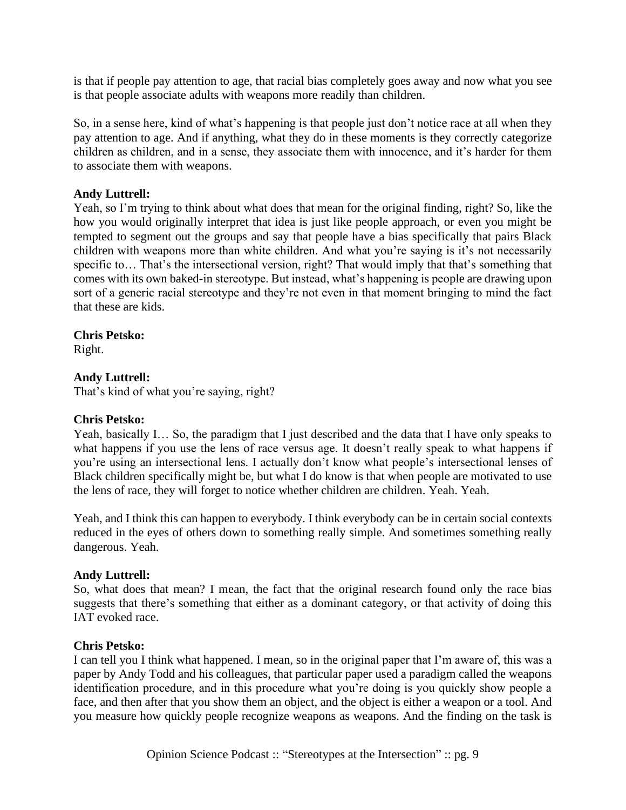is that if people pay attention to age, that racial bias completely goes away and now what you see is that people associate adults with weapons more readily than children.

So, in a sense here, kind of what's happening is that people just don't notice race at all when they pay attention to age. And if anything, what they do in these moments is they correctly categorize children as children, and in a sense, they associate them with innocence, and it's harder for them to associate them with weapons.

## **Andy Luttrell:**

Yeah, so I'm trying to think about what does that mean for the original finding, right? So, like the how you would originally interpret that idea is just like people approach, or even you might be tempted to segment out the groups and say that people have a bias specifically that pairs Black children with weapons more than white children. And what you're saying is it's not necessarily specific to... That's the intersectional version, right? That would imply that that's something that comes with its own baked-in stereotype. But instead, what's happening is people are drawing upon sort of a generic racial stereotype and they're not even in that moment bringing to mind the fact that these are kids.

## **Chris Petsko:**

Right.

## **Andy Luttrell:**

That's kind of what you're saying, right?

## **Chris Petsko:**

Yeah, basically I… So, the paradigm that I just described and the data that I have only speaks to what happens if you use the lens of race versus age. It doesn't really speak to what happens if you're using an intersectional lens. I actually don't know what people's intersectional lenses of Black children specifically might be, but what I do know is that when people are motivated to use the lens of race, they will forget to notice whether children are children. Yeah. Yeah.

Yeah, and I think this can happen to everybody. I think everybody can be in certain social contexts reduced in the eyes of others down to something really simple. And sometimes something really dangerous. Yeah.

## **Andy Luttrell:**

So, what does that mean? I mean, the fact that the original research found only the race bias suggests that there's something that either as a dominant category, or that activity of doing this IAT evoked race.

## **Chris Petsko:**

I can tell you I think what happened. I mean, so in the original paper that I'm aware of, this was a paper by Andy Todd and his colleagues, that particular paper used a paradigm called the weapons identification procedure, and in this procedure what you're doing is you quickly show people a face, and then after that you show them an object, and the object is either a weapon or a tool. And you measure how quickly people recognize weapons as weapons. And the finding on the task is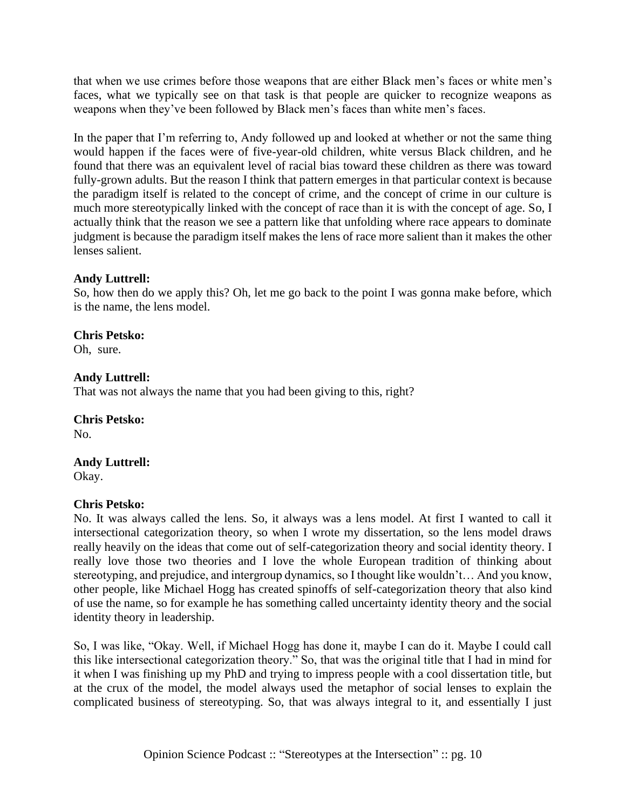that when we use crimes before those weapons that are either Black men's faces or white men's faces, what we typically see on that task is that people are quicker to recognize weapons as weapons when they've been followed by Black men's faces than white men's faces.

In the paper that I'm referring to, Andy followed up and looked at whether or not the same thing would happen if the faces were of five-year-old children, white versus Black children, and he found that there was an equivalent level of racial bias toward these children as there was toward fully-grown adults. But the reason I think that pattern emerges in that particular context is because the paradigm itself is related to the concept of crime, and the concept of crime in our culture is much more stereotypically linked with the concept of race than it is with the concept of age. So, I actually think that the reason we see a pattern like that unfolding where race appears to dominate judgment is because the paradigm itself makes the lens of race more salient than it makes the other lenses salient.

## **Andy Luttrell:**

So, how then do we apply this? Oh, let me go back to the point I was gonna make before, which is the name, the lens model.

## **Chris Petsko:**

Oh, sure.

## **Andy Luttrell:**

That was not always the name that you had been giving to this, right?

## **Chris Petsko:**

No.

## **Andy Luttrell:**

Okay.

## **Chris Petsko:**

No. It was always called the lens. So, it always was a lens model. At first I wanted to call it intersectional categorization theory, so when I wrote my dissertation, so the lens model draws really heavily on the ideas that come out of self-categorization theory and social identity theory. I really love those two theories and I love the whole European tradition of thinking about stereotyping, and prejudice, and intergroup dynamics, so I thought like wouldn't… And you know, other people, like Michael Hogg has created spinoffs of self-categorization theory that also kind of use the name, so for example he has something called uncertainty identity theory and the social identity theory in leadership.

So, I was like, "Okay. Well, if Michael Hogg has done it, maybe I can do it. Maybe I could call this like intersectional categorization theory." So, that was the original title that I had in mind for it when I was finishing up my PhD and trying to impress people with a cool dissertation title, but at the crux of the model, the model always used the metaphor of social lenses to explain the complicated business of stereotyping. So, that was always integral to it, and essentially I just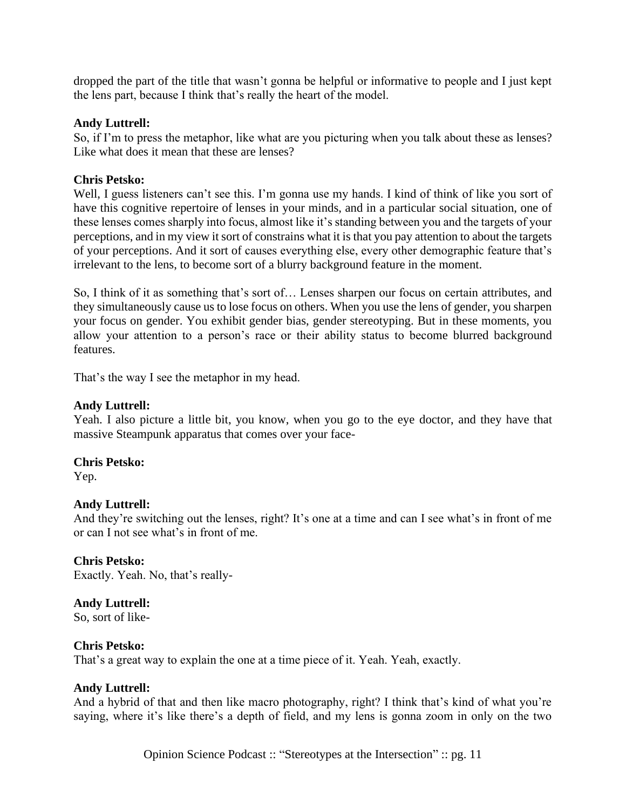dropped the part of the title that wasn't gonna be helpful or informative to people and I just kept the lens part, because I think that's really the heart of the model.

### **Andy Luttrell:**

So, if I'm to press the metaphor, like what are you picturing when you talk about these as lenses? Like what does it mean that these are lenses?

### **Chris Petsko:**

Well, I guess listeners can't see this. I'm gonna use my hands. I kind of think of like you sort of have this cognitive repertoire of lenses in your minds, and in a particular social situation, one of these lenses comes sharply into focus, almost like it's standing between you and the targets of your perceptions, and in my view it sort of constrains what it is that you pay attention to about the targets of your perceptions. And it sort of causes everything else, every other demographic feature that's irrelevant to the lens, to become sort of a blurry background feature in the moment.

So, I think of it as something that's sort of… Lenses sharpen our focus on certain attributes, and they simultaneously cause us to lose focus on others. When you use the lens of gender, you sharpen your focus on gender. You exhibit gender bias, gender stereotyping. But in these moments, you allow your attention to a person's race or their ability status to become blurred background features.

That's the way I see the metaphor in my head.

### **Andy Luttrell:**

Yeah. I also picture a little bit, you know, when you go to the eye doctor, and they have that massive Steampunk apparatus that comes over your face-

#### **Chris Petsko:**

Yep.

## **Andy Luttrell:**

And they're switching out the lenses, right? It's one at a time and can I see what's in front of me or can I not see what's in front of me.

#### **Chris Petsko:**

Exactly. Yeah. No, that's really-

## **Andy Luttrell:**

So, sort of like-

#### **Chris Petsko:**

That's a great way to explain the one at a time piece of it. Yeah. Yeah, exactly.

#### **Andy Luttrell:**

And a hybrid of that and then like macro photography, right? I think that's kind of what you're saying, where it's like there's a depth of field, and my lens is gonna zoom in only on the two

Opinion Science Podcast :: "Stereotypes at the Intersection" :: pg. 11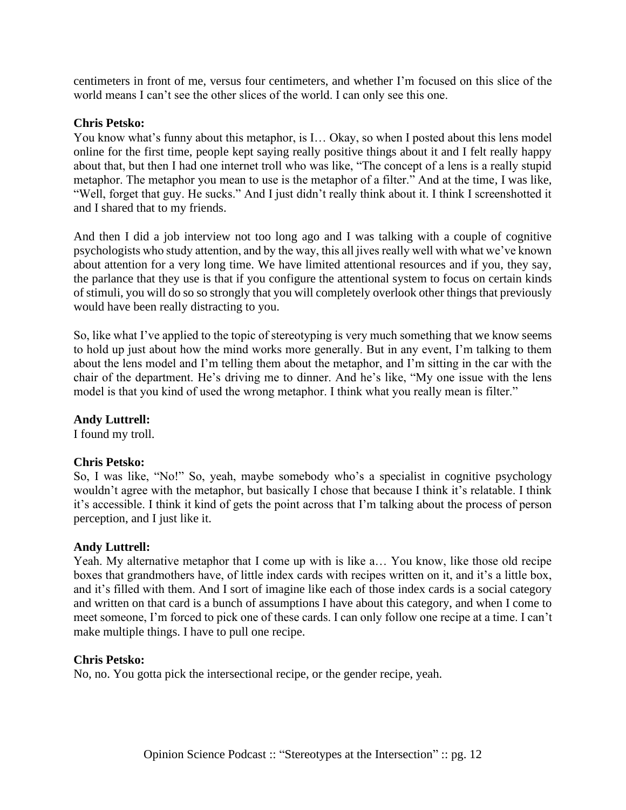centimeters in front of me, versus four centimeters, and whether I'm focused on this slice of the world means I can't see the other slices of the world. I can only see this one.

## **Chris Petsko:**

You know what's funny about this metaphor, is I… Okay, so when I posted about this lens model online for the first time, people kept saying really positive things about it and I felt really happy about that, but then I had one internet troll who was like, "The concept of a lens is a really stupid metaphor. The metaphor you mean to use is the metaphor of a filter." And at the time, I was like, "Well, forget that guy. He sucks." And I just didn't really think about it. I think I screenshotted it and I shared that to my friends.

And then I did a job interview not too long ago and I was talking with a couple of cognitive psychologists who study attention, and by the way, this all jives really well with what we've known about attention for a very long time. We have limited attentional resources and if you, they say, the parlance that they use is that if you configure the attentional system to focus on certain kinds of stimuli, you will do so so strongly that you will completely overlook other things that previously would have been really distracting to you.

So, like what I've applied to the topic of stereotyping is very much something that we know seems to hold up just about how the mind works more generally. But in any event, I'm talking to them about the lens model and I'm telling them about the metaphor, and I'm sitting in the car with the chair of the department. He's driving me to dinner. And he's like, "My one issue with the lens model is that you kind of used the wrong metaphor. I think what you really mean is filter."

## **Andy Luttrell:**

I found my troll.

## **Chris Petsko:**

So, I was like, "No!" So, yeah, maybe somebody who's a specialist in cognitive psychology wouldn't agree with the metaphor, but basically I chose that because I think it's relatable. I think it's accessible. I think it kind of gets the point across that I'm talking about the process of person perception, and I just like it.

## **Andy Luttrell:**

Yeah. My alternative metaphor that I come up with is like a… You know, like those old recipe boxes that grandmothers have, of little index cards with recipes written on it, and it's a little box, and it's filled with them. And I sort of imagine like each of those index cards is a social category and written on that card is a bunch of assumptions I have about this category, and when I come to meet someone, I'm forced to pick one of these cards. I can only follow one recipe at a time. I can't make multiple things. I have to pull one recipe.

## **Chris Petsko:**

No, no. You gotta pick the intersectional recipe, or the gender recipe, yeah.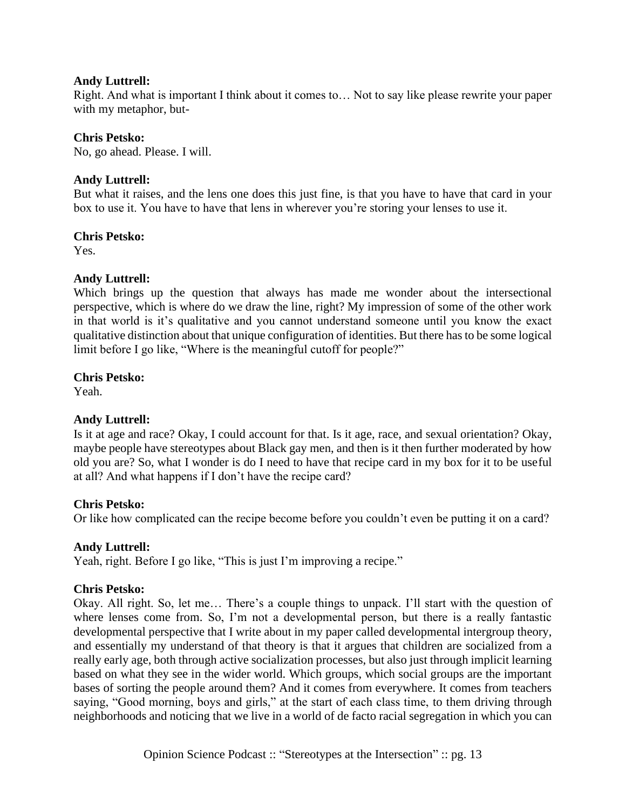Right. And what is important I think about it comes to… Not to say like please rewrite your paper with my metaphor, but-

## **Chris Petsko:**

No, go ahead. Please. I will.

## **Andy Luttrell:**

But what it raises, and the lens one does this just fine, is that you have to have that card in your box to use it. You have to have that lens in wherever you're storing your lenses to use it.

## **Chris Petsko:**

Yes.

## **Andy Luttrell:**

Which brings up the question that always has made me wonder about the intersectional perspective, which is where do we draw the line, right? My impression of some of the other work in that world is it's qualitative and you cannot understand someone until you know the exact qualitative distinction about that unique configuration of identities. But there has to be some logical limit before I go like, "Where is the meaningful cutoff for people?"

## **Chris Petsko:**

Yeah.

## **Andy Luttrell:**

Is it at age and race? Okay, I could account for that. Is it age, race, and sexual orientation? Okay, maybe people have stereotypes about Black gay men, and then is it then further moderated by how old you are? So, what I wonder is do I need to have that recipe card in my box for it to be useful at all? And what happens if I don't have the recipe card?

## **Chris Petsko:**

Or like how complicated can the recipe become before you couldn't even be putting it on a card?

## **Andy Luttrell:**

Yeah, right. Before I go like, "This is just I'm improving a recipe."

## **Chris Petsko:**

Okay. All right. So, let me… There's a couple things to unpack. I'll start with the question of where lenses come from. So, I'm not a developmental person, but there is a really fantastic developmental perspective that I write about in my paper called developmental intergroup theory, and essentially my understand of that theory is that it argues that children are socialized from a really early age, both through active socialization processes, but also just through implicit learning based on what they see in the wider world. Which groups, which social groups are the important bases of sorting the people around them? And it comes from everywhere. It comes from teachers saying, "Good morning, boys and girls," at the start of each class time, to them driving through neighborhoods and noticing that we live in a world of de facto racial segregation in which you can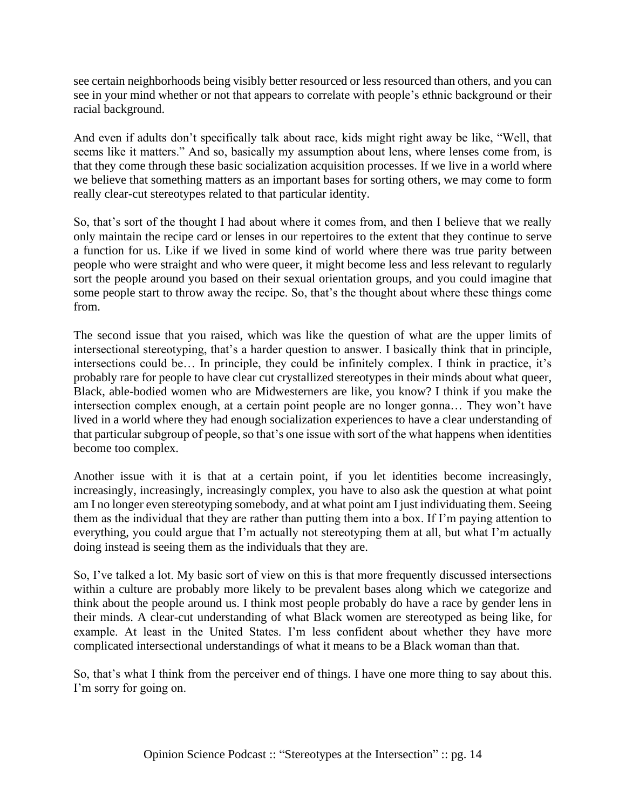see certain neighborhoods being visibly better resourced or less resourced than others, and you can see in your mind whether or not that appears to correlate with people's ethnic background or their racial background.

And even if adults don't specifically talk about race, kids might right away be like, "Well, that seems like it matters." And so, basically my assumption about lens, where lenses come from, is that they come through these basic socialization acquisition processes. If we live in a world where we believe that something matters as an important bases for sorting others, we may come to form really clear-cut stereotypes related to that particular identity.

So, that's sort of the thought I had about where it comes from, and then I believe that we really only maintain the recipe card or lenses in our repertoires to the extent that they continue to serve a function for us. Like if we lived in some kind of world where there was true parity between people who were straight and who were queer, it might become less and less relevant to regularly sort the people around you based on their sexual orientation groups, and you could imagine that some people start to throw away the recipe. So, that's the thought about where these things come from.

The second issue that you raised, which was like the question of what are the upper limits of intersectional stereotyping, that's a harder question to answer. I basically think that in principle, intersections could be… In principle, they could be infinitely complex. I think in practice, it's probably rare for people to have clear cut crystallized stereotypes in their minds about what queer, Black, able-bodied women who are Midwesterners are like, you know? I think if you make the intersection complex enough, at a certain point people are no longer gonna… They won't have lived in a world where they had enough socialization experiences to have a clear understanding of that particular subgroup of people, so that's one issue with sort of the what happens when identities become too complex.

Another issue with it is that at a certain point, if you let identities become increasingly, increasingly, increasingly, increasingly complex, you have to also ask the question at what point am I no longer even stereotyping somebody, and at what point am I just individuating them. Seeing them as the individual that they are rather than putting them into a box. If I'm paying attention to everything, you could argue that I'm actually not stereotyping them at all, but what I'm actually doing instead is seeing them as the individuals that they are.

So, I've talked a lot. My basic sort of view on this is that more frequently discussed intersections within a culture are probably more likely to be prevalent bases along which we categorize and think about the people around us. I think most people probably do have a race by gender lens in their minds. A clear-cut understanding of what Black women are stereotyped as being like, for example. At least in the United States. I'm less confident about whether they have more complicated intersectional understandings of what it means to be a Black woman than that.

So, that's what I think from the perceiver end of things. I have one more thing to say about this. I'm sorry for going on.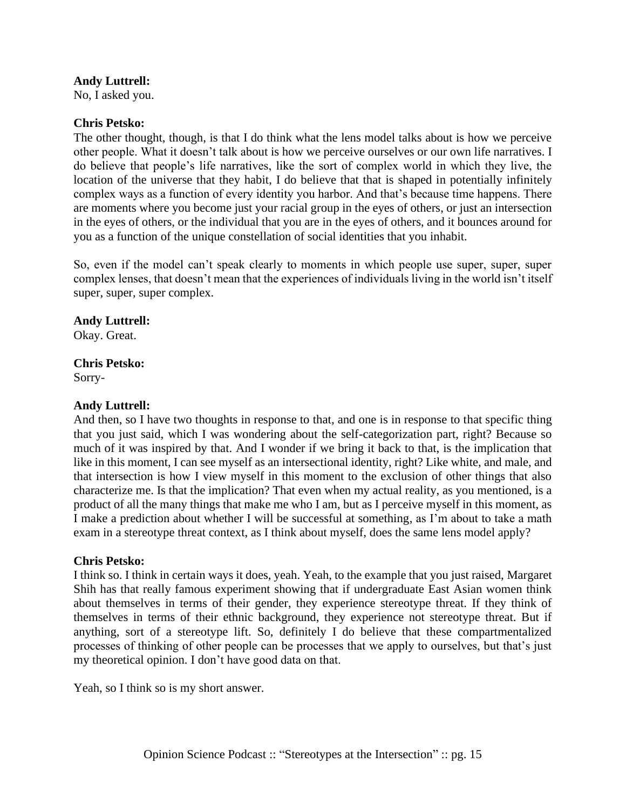No, I asked you.

## **Chris Petsko:**

The other thought, though, is that I do think what the lens model talks about is how we perceive other people. What it doesn't talk about is how we perceive ourselves or our own life narratives. I do believe that people's life narratives, like the sort of complex world in which they live, the location of the universe that they habit, I do believe that that is shaped in potentially infinitely complex ways as a function of every identity you harbor. And that's because time happens. There are moments where you become just your racial group in the eyes of others, or just an intersection in the eyes of others, or the individual that you are in the eyes of others, and it bounces around for you as a function of the unique constellation of social identities that you inhabit.

So, even if the model can't speak clearly to moments in which people use super, super, super complex lenses, that doesn't mean that the experiences of individuals living in the world isn't itself super, super, super complex.

## **Andy Luttrell:**

Okay. Great.

# **Chris Petsko:**

Sorry-

## **Andy Luttrell:**

And then, so I have two thoughts in response to that, and one is in response to that specific thing that you just said, which I was wondering about the self-categorization part, right? Because so much of it was inspired by that. And I wonder if we bring it back to that, is the implication that like in this moment, I can see myself as an intersectional identity, right? Like white, and male, and that intersection is how I view myself in this moment to the exclusion of other things that also characterize me. Is that the implication? That even when my actual reality, as you mentioned, is a product of all the many things that make me who I am, but as I perceive myself in this moment, as I make a prediction about whether I will be successful at something, as I'm about to take a math exam in a stereotype threat context, as I think about myself, does the same lens model apply?

## **Chris Petsko:**

I think so. I think in certain ways it does, yeah. Yeah, to the example that you just raised, Margaret Shih has that really famous experiment showing that if undergraduate East Asian women think about themselves in terms of their gender, they experience stereotype threat. If they think of themselves in terms of their ethnic background, they experience not stereotype threat. But if anything, sort of a stereotype lift. So, definitely I do believe that these compartmentalized processes of thinking of other people can be processes that we apply to ourselves, but that's just my theoretical opinion. I don't have good data on that.

Yeah, so I think so is my short answer.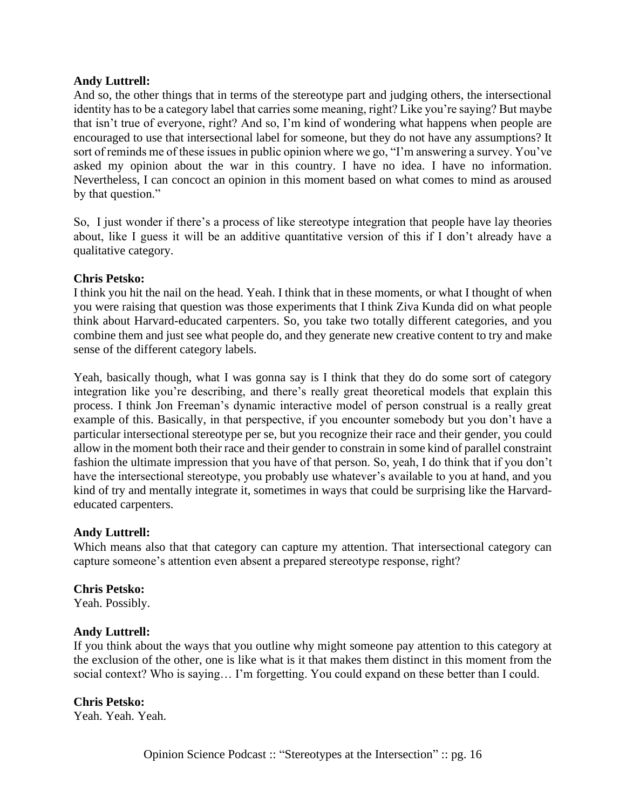And so, the other things that in terms of the stereotype part and judging others, the intersectional identity has to be a category label that carries some meaning, right? Like you're saying? But maybe that isn't true of everyone, right? And so, I'm kind of wondering what happens when people are encouraged to use that intersectional label for someone, but they do not have any assumptions? It sort of reminds me of these issues in public opinion where we go, "I'm answering a survey. You've asked my opinion about the war in this country. I have no idea. I have no information. Nevertheless, I can concoct an opinion in this moment based on what comes to mind as aroused by that question."

So, I just wonder if there's a process of like stereotype integration that people have lay theories about, like I guess it will be an additive quantitative version of this if I don't already have a qualitative category.

#### **Chris Petsko:**

I think you hit the nail on the head. Yeah. I think that in these moments, or what I thought of when you were raising that question was those experiments that I think Ziva Kunda did on what people think about Harvard-educated carpenters. So, you take two totally different categories, and you combine them and just see what people do, and they generate new creative content to try and make sense of the different category labels.

Yeah, basically though, what I was gonna say is I think that they do do some sort of category integration like you're describing, and there's really great theoretical models that explain this process. I think Jon Freeman's dynamic interactive model of person construal is a really great example of this. Basically, in that perspective, if you encounter somebody but you don't have a particular intersectional stereotype per se, but you recognize their race and their gender, you could allow in the moment both their race and their gender to constrain in some kind of parallel constraint fashion the ultimate impression that you have of that person. So, yeah, I do think that if you don't have the intersectional stereotype, you probably use whatever's available to you at hand, and you kind of try and mentally integrate it, sometimes in ways that could be surprising like the Harvardeducated carpenters.

## **Andy Luttrell:**

Which means also that that category can capture my attention. That intersectional category can capture someone's attention even absent a prepared stereotype response, right?

#### **Chris Petsko:**

Yeah. Possibly.

#### **Andy Luttrell:**

If you think about the ways that you outline why might someone pay attention to this category at the exclusion of the other, one is like what is it that makes them distinct in this moment from the social context? Who is saying… I'm forgetting. You could expand on these better than I could.

## **Chris Petsko:**

Yeah. Yeah. Yeah.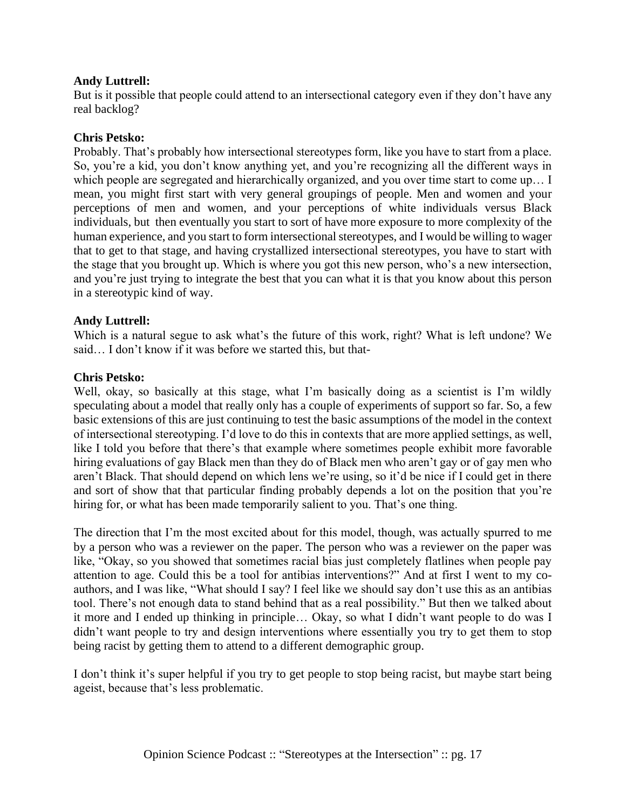But is it possible that people could attend to an intersectional category even if they don't have any real backlog?

## **Chris Petsko:**

Probably. That's probably how intersectional stereotypes form, like you have to start from a place. So, you're a kid, you don't know anything yet, and you're recognizing all the different ways in which people are segregated and hierarchically organized, and you over time start to come up… I mean, you might first start with very general groupings of people. Men and women and your perceptions of men and women, and your perceptions of white individuals versus Black individuals, but then eventually you start to sort of have more exposure to more complexity of the human experience, and you start to form intersectional stereotypes, and I would be willing to wager that to get to that stage, and having crystallized intersectional stereotypes, you have to start with the stage that you brought up. Which is where you got this new person, who's a new intersection, and you're just trying to integrate the best that you can what it is that you know about this person in a stereotypic kind of way.

## **Andy Luttrell:**

Which is a natural segue to ask what's the future of this work, right? What is left undone? We said… I don't know if it was before we started this, but that-

## **Chris Petsko:**

Well, okay, so basically at this stage, what I'm basically doing as a scientist is I'm wildly speculating about a model that really only has a couple of experiments of support so far. So, a few basic extensions of this are just continuing to test the basic assumptions of the model in the context of intersectional stereotyping. I'd love to do this in contexts that are more applied settings, as well, like I told you before that there's that example where sometimes people exhibit more favorable hiring evaluations of gay Black men than they do of Black men who aren't gay or of gay men who aren't Black. That should depend on which lens we're using, so it'd be nice if I could get in there and sort of show that that particular finding probably depends a lot on the position that you're hiring for, or what has been made temporarily salient to you. That's one thing.

The direction that I'm the most excited about for this model, though, was actually spurred to me by a person who was a reviewer on the paper. The person who was a reviewer on the paper was like, "Okay, so you showed that sometimes racial bias just completely flatlines when people pay attention to age. Could this be a tool for antibias interventions?" And at first I went to my coauthors, and I was like, "What should I say? I feel like we should say don't use this as an antibias tool. There's not enough data to stand behind that as a real possibility." But then we talked about it more and I ended up thinking in principle… Okay, so what I didn't want people to do was I didn't want people to try and design interventions where essentially you try to get them to stop being racist by getting them to attend to a different demographic group.

I don't think it's super helpful if you try to get people to stop being racist, but maybe start being ageist, because that's less problematic.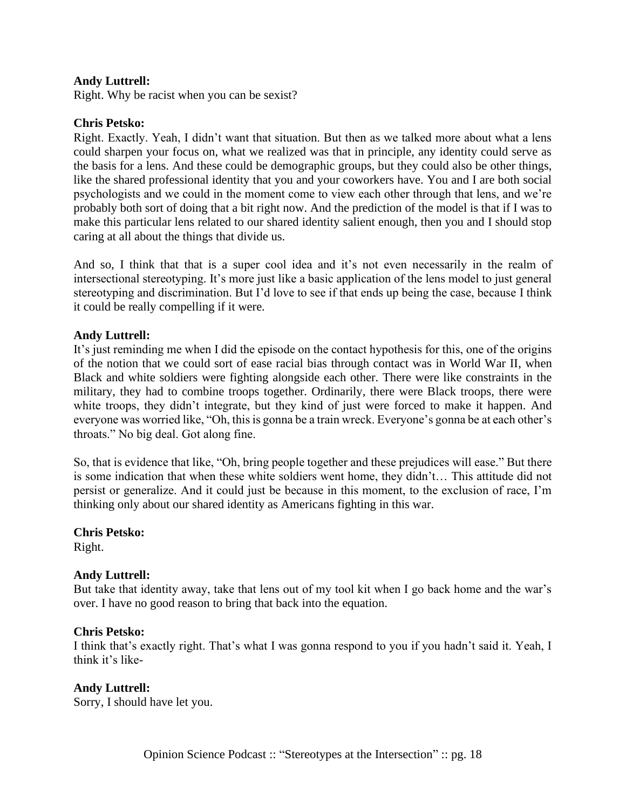Right. Why be racist when you can be sexist?

## **Chris Petsko:**

Right. Exactly. Yeah, I didn't want that situation. But then as we talked more about what a lens could sharpen your focus on, what we realized was that in principle, any identity could serve as the basis for a lens. And these could be demographic groups, but they could also be other things, like the shared professional identity that you and your coworkers have. You and I are both social psychologists and we could in the moment come to view each other through that lens, and we're probably both sort of doing that a bit right now. And the prediction of the model is that if I was to make this particular lens related to our shared identity salient enough, then you and I should stop caring at all about the things that divide us.

And so, I think that that is a super cool idea and it's not even necessarily in the realm of intersectional stereotyping. It's more just like a basic application of the lens model to just general stereotyping and discrimination. But I'd love to see if that ends up being the case, because I think it could be really compelling if it were.

#### **Andy Luttrell:**

It's just reminding me when I did the episode on the contact hypothesis for this, one of the origins of the notion that we could sort of ease racial bias through contact was in World War II, when Black and white soldiers were fighting alongside each other. There were like constraints in the military, they had to combine troops together. Ordinarily, there were Black troops, there were white troops, they didn't integrate, but they kind of just were forced to make it happen. And everyone was worried like, "Oh, this is gonna be a train wreck. Everyone's gonna be at each other's throats." No big deal. Got along fine.

So, that is evidence that like, "Oh, bring people together and these prejudices will ease." But there is some indication that when these white soldiers went home, they didn't… This attitude did not persist or generalize. And it could just be because in this moment, to the exclusion of race, I'm thinking only about our shared identity as Americans fighting in this war.

**Chris Petsko:** Right.

## **Andy Luttrell:**

But take that identity away, take that lens out of my tool kit when I go back home and the war's over. I have no good reason to bring that back into the equation.

#### **Chris Petsko:**

I think that's exactly right. That's what I was gonna respond to you if you hadn't said it. Yeah, I think it's like-

#### **Andy Luttrell:**

Sorry, I should have let you.